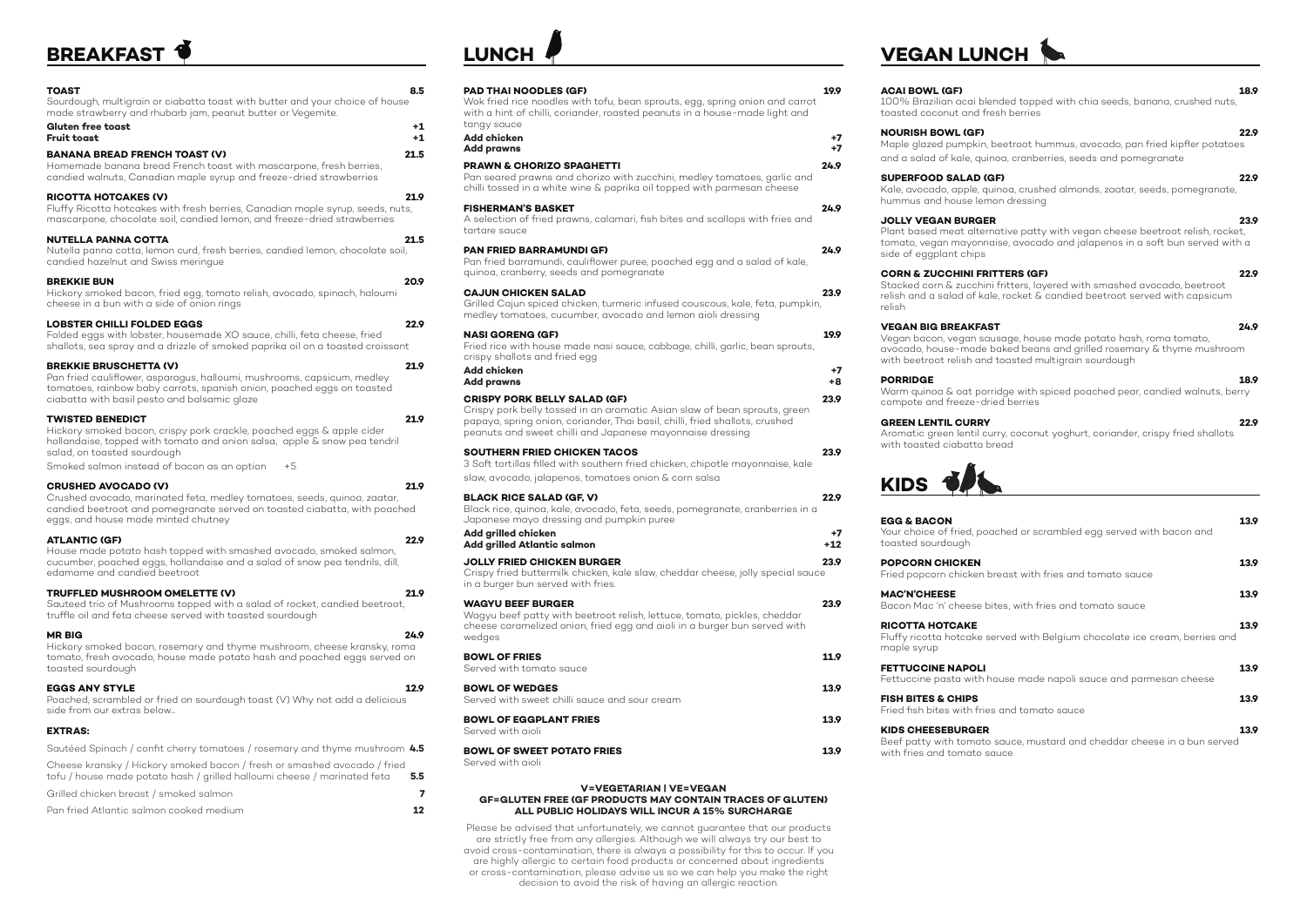# **BREAKFAST**

| TOAST<br>Sourdough, multigrain or ciabatta toast with butter and your choice of house                                                                                                                                                                               | 8.5              |
|---------------------------------------------------------------------------------------------------------------------------------------------------------------------------------------------------------------------------------------------------------------------|------------------|
| made strawberry and rhubarb jam, peanut butter or Vegemite.<br><b>Gluten free toast</b><br><b>Fruit toast</b>                                                                                                                                                       | +1<br>$+1$       |
| <b>BANANA BREAD FRENCH TOAST (V)</b><br>Homemade banana bread French toast with mascarpone, fresh berries,<br>candied walnuts, Canadian maple syrup and freeze-dried strawberries                                                                                   | 21.5             |
| <b>RICOTTA HOTCAKES (V)</b><br>Fluffy Ricotta hotcakes with fresh berries, Canadian maple syrup, seeds, nuts,<br>mascarpone, chocolate soil, candied lemon, and freeze-dried strawberries                                                                           | 21.9             |
| <b>NUTELLA PANNA COTTA</b><br>Nutella panna cotta, lemon curd, fresh berries, candied lemon, chocolate soil,<br>candied hazelnut and Swiss meringue                                                                                                                 | 21.5             |
| <b>BREKKIE BUN</b><br>Hickory smoked bacon, fried egg, tomato relish, avocado, spinach, haloumi<br>cheese in a bun with a side of onion rings                                                                                                                       | 20.9             |
| <b>LOBSTER CHILLI FOLDED EGGS</b><br>Folded eggs with lobster, housemade XO sauce, chilli, feta cheese, fried<br>shallots, sea spray and a drizzle of smoked paprika oil on a toasted croissant                                                                     | 22.9             |
| <b>BREKKIE BRUSCHETTA (V)</b><br>Pan fried cauliflower, asparagus, halloumi, mushrooms, capsicum, medley<br>tomatoes, rainbow baby carrots, spanish onion, poached eggs on toasted<br>ciabatta with basil pesto and balsamic glaze                                  | 21.9             |
| <b>TWISTED BENEDICT</b><br>Hickory smoked bacon, crispy pork crackle, poached eggs & apple cider<br>hollandaise, topped with tomato and onion salsa, apple & snow pea tendril<br>salad, on toasted sourdough<br>Smoked salmon instead of bacon as an option<br>$+5$ | 21.9             |
| <b>CRUSHED AVOCADO (V)</b><br>Crushed avocado, marinated feta, medley tomatoes, seeds, quinoa, zaatar,<br>candied beetroot and pomegranate served on toasted ciabatta, with poached<br>eggs, and house made minted chutney                                          | 21.9             |
| <b>ATLANTIC (GF)</b><br>House made potato hash topped with smashed avocado, smoked salmon,<br>cucumber, poached eggs, hollandaise and a salad of snow pea tendrils, dill,<br>edamame and candied beetroot                                                           | 22.9             |
| TRUFFLED MUSHROOM OMELETTE (V)<br>Sauteed trio of Mushrooms topped with a salad of rocket, candied beetroot,<br>truffle oil and feta cheese served with toasted sourdough                                                                                           | 21.9             |
| <b>MR BIG</b><br>Hickory smoked bacon, rosemary and thyme mushroom, cheese kransky, roma<br>tomato, fresh avocado, house made potato hash and poached eggs served on<br>toasted sourdough                                                                           | 24.9             |
| <b>EGGS ANY STYLE</b><br>Poached, scrambled or fried on sourdough toast (V) Why not add a delicious<br>side from our extras below                                                                                                                                   | 12.9             |
| <b>EXTRAS:</b>                                                                                                                                                                                                                                                      |                  |
| Sautéed Spinach / confit cherry tomatoes / rosemary and thyme mushroom 4.5                                                                                                                                                                                          |                  |
| Cheese kransky / Hickory smoked bacon / fresh or smashed avocado / fried<br>tofu / house made potato hash / grilled halloumi cheese / marinated feta                                                                                                                | $5.5\phantom{0}$ |
| Grilled chicken breast / smoked salmon                                                                                                                                                                                                                              | 7                |
| Pan fried Atlantic salmon cooked medium                                                                                                                                                                                                                             | 12               |

# **LUNC**

### **PAD THAI NOODLES (GF) 19.9**

### Wok fried rice noodles with tofu, bean sprouts, egg, spring onion and carrot with a hint of chilli, coriander, roasted peanuts in a house-made light and tangy sauce

| Add chicken       |  |
|-------------------|--|
| <b>Add prawns</b> |  |

**Add prawns +7**

**PRAWN & CHORIZO SPAGHETTI 24.9** Pan seared prawns and chorizo with zucchini, medley tomatoes, garlic and chilli tossed in a white wine & paprika oil topped with parmesan cheese

### **FISHERMAN'S BASKET 24.9**

A selection of fried prawns, calamari, fish bites and scallops with fries and tartare sauce

> **MAC'N'CHEESE 13.9** Bacon Mac 'n' cheese b

### **PAN FRIED BARRAMUNDI GF) 24.9**

Pan fried barramundi, cauliflower puree, poached egg and a salad of kale, quinoa, cranberry, seeds and pomegranate

> **FISH BITES & CHIPS 13.9** Fried fish bites with frie

### **KIDS CHEESEBURGER 13.9** Beef patty with tomato with fries and tomato  $s$

### **CAJUN CHICKEN SALAD 23.9**

Grilled Cajun spiced chicken, turmeric infused couscous, kale, feta, pumpkin, medley tomatoes, cucumber, avocado and lemon aioli dressing

## **NASI GORENG (GF) 19.9**

Fried rice with house made nasi sauce, cabbage, chilli, garlic, bean sprouts, crispy shallots and fried egg

| Add chicken                                                               |      |
|---------------------------------------------------------------------------|------|
| Add prawns                                                                | +8   |
| <b>CRISPY PORK BELLY SALAD (GF)</b>                                       | 23.9 |
| Crispy pork belly tossed in an aromatic Asian slaw of bean sprouts, green |      |

papaya, spring onion, coriander, Thai basil, chilli, fried shallots, crushed peanuts and sweet chilli and Japanese mayonnaise dressing

| SOUTHERN FRIED CHICKEN TACOS                                                                                                                                                                                                                                                                                                                        |  | 23.9 |
|-----------------------------------------------------------------------------------------------------------------------------------------------------------------------------------------------------------------------------------------------------------------------------------------------------------------------------------------------------|--|------|
| $\overline{a}$ , $\overline{a}$ , $\overline{a}$ , $\overline{a}$ , $\overline{a}$ , $\overline{a}$ , $\overline{a}$ , $\overline{a}$ , $\overline{a}$ , $\overline{a}$ , $\overline{a}$ , $\overline{a}$ , $\overline{a}$ , $\overline{a}$ , $\overline{a}$ , $\overline{a}$ , $\overline{a}$ , $\overline{a}$ , $\overline{a}$ , $\overline{a}$ , |  |      |

3 Soft tortillas filled with southern fried chicken, chipotle mayonnaise, kale slaw, avocado, jalapenos, tomatoes onion & corn salsa

| <b>BLACK RICE SALAD (GF, V)</b>                                                                                           | 22.9  |
|---------------------------------------------------------------------------------------------------------------------------|-------|
| Black rice, quinoa, kale, avocado, feta, seeds, pomegranate, cranberries in a<br>Japanese mayo dressing and pumpkin puree |       |
| Add grilled chicken                                                                                                       | $+7$  |
| Add grilled Atlantic salmon                                                                                               | $+12$ |
| <b>JOLLY FRIED CHICKEN BURGER</b>                                                                                         | 23.9  |
| Crispy fried buttermilk chicken, kale slaw, cheddar cheese, jolly special sauce<br>in a burger bun served with fries.     |       |
| <b>WAGYU BEEF BURGER</b>                                                                                                  |       |

| wayiv blli burulr<br>Wagyu beef patty with beetroot relish, lettuce, tomato, pickles, cheddar<br>cheese caramelized onion, fried egg and aioli in a burger bun served with<br>wedges | LJ. 7 |
|--------------------------------------------------------------------------------------------------------------------------------------------------------------------------------------|-------|
| <b>BOWL OF FRIES</b><br>Served with tomato sauce                                                                                                                                     | 11.9  |
| <b>BOWL OF WEDGES</b><br>Served with sweet chilli sauce and sour cream                                                                                                               | 139   |
| <b>BOWL OF EGGPLANT FRIES</b><br>Served with aioli                                                                                                                                   | 139   |
|                                                                                                                                                                                      |       |

## **BOWL OF SWEET POTATO FRIES 13.9** Served with aioli

# **VEGAN LUNCH**

### **ACAI BOWL (GF) 18.9**

100% Brazilian acai blended topped with chia seeds, banana, crushed nuts,

toasted coconut and fresh berries

# **NOURISH BOWL (GF) 22.9**

Maple glazed pumpkin, beetroot hummus, avocado, pan fried kipfler potatoes and a salad of kale, quinoa, cranberries, seeds and pomegranate

Kale, avocado, apple, quinoa, crushed almonds, zaatar, seeds, pomegranate,

# **SUPERFOOD SALAD (GF) 22.9** hummus and house lemon dressing

## **JOLLY VEGAN BURGER 23.9**

Plant based meat alternative patty with vegan cheese beetroot relish, rocket, tomato, vegan mayonnaise, avocado and jalapenos in a soft bun served with a

side of eggplant chips

## **CORN & ZUCCHINI FRITTERS (GF) 22.9**

Stacked corn & zucchini fritters, layered with smashed avocado, beetroot relish and a salad of kale, rocket & candied beetroot served with capsicum

relish

## **VEGAN BIG BREAKFAST 24.9**

Vegan bacon, vegan sausage, house made potato hash, roma tomato, avocado, house-made baked beans and grilled rosemary & thyme mushroom with beetroot relish and toasted multigrain sourdough

**PORRIDGE 18.9** Warm quinoa & oat porridge with spiced poached pear, candied walnuts, berry

|                                                              | 13.9 |
|--------------------------------------------------------------|------|
| ached or scrambled egg served with bacon and                 |      |
| breast with fries and tomato sauce                           | 13.9 |
| bites, with fries and tomato sauce                           | 13.9 |
| served with Belgium chocolate ice cream, berries and         | 13.9 |
| house made napoli sauce and parmesan cheese                  | 13.9 |
| es and tomato sauce                                          | 13.9 |
| b sauce, mustard and cheddar cheese in a bun served<br>sauce | 13.9 |

compote and freeze-dried berries

## **GREEN LENTIL CURRY 22.9**

Aromatic green lentil curry, coconut yoghurt, coriander, crispy fried shallots with toasted ciabatta bread



## **EGG & BACON** Your choice of fried, po

toasted sourdough

### **POPCORN CHICKEN** Fried popcorn chicken

### **RICOTTA HOTCAKE 13.9** Fluffy ricotta hotcake s maple syrup

**FETTUCCINE NAPOLI** Fettuccine pasta with h

### **V=VEGETARIAN | VE=VEGAN GF=GLUTEN FREE (GF PRODUCTS MAY CONTAIN TRACES OF GLUTEN) ALL PUBLIC HOLIDAYS WILL INCUR A 15% SURCHARGE**

Please be advised that unfortunately, we cannot guarantee that our products are strictly free from any allergies. Although we will always try our best to avoid cross-contamination, there is always a possibility for this to occur. If you are highly allergic to certain food products or concerned about ingredients or cross-contamination, please advise us so we can help you make the right decision to avoid the risk of having an allergic reaction.